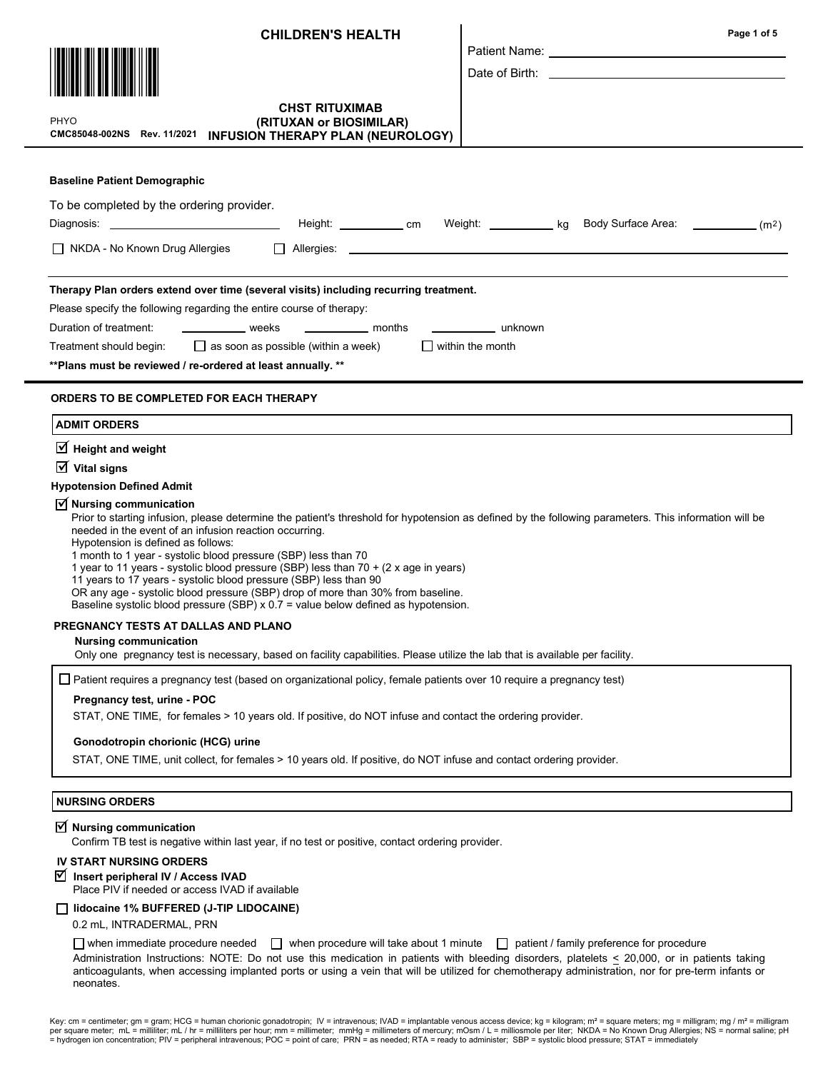| <b>CHILDREN'S HEALTH</b>                                                                                                                                                                                                                                                                                                                                                                                                                                                                                                                                                                                                                                                                                | Page 1 of 5                                                                                                                                                                                                                    |  |
|---------------------------------------------------------------------------------------------------------------------------------------------------------------------------------------------------------------------------------------------------------------------------------------------------------------------------------------------------------------------------------------------------------------------------------------------------------------------------------------------------------------------------------------------------------------------------------------------------------------------------------------------------------------------------------------------------------|--------------------------------------------------------------------------------------------------------------------------------------------------------------------------------------------------------------------------------|--|
|                                                                                                                                                                                                                                                                                                                                                                                                                                                                                                                                                                                                                                                                                                         | Patient Name: University of the University of the University of the University of the University of the University of the University of the University of the University of the University of the University of the University |  |
|                                                                                                                                                                                                                                                                                                                                                                                                                                                                                                                                                                                                                                                                                                         |                                                                                                                                                                                                                                |  |
| <b>CHST RITUXIMAB</b><br>PHYO<br>(RITUXAN or BIOSIMILAR)<br>CMC85048-002NS Rev. 11/2021<br>INFUSION THERAPY PLAN (NEUROLOGY)                                                                                                                                                                                                                                                                                                                                                                                                                                                                                                                                                                            |                                                                                                                                                                                                                                |  |
| <b>Baseline Patient Demographic</b>                                                                                                                                                                                                                                                                                                                                                                                                                                                                                                                                                                                                                                                                     |                                                                                                                                                                                                                                |  |
| To be completed by the ordering provider.                                                                                                                                                                                                                                                                                                                                                                                                                                                                                                                                                                                                                                                               |                                                                                                                                                                                                                                |  |
| Height: _____________ cm                                                                                                                                                                                                                                                                                                                                                                                                                                                                                                                                                                                                                                                                                | Weight: <u>_____________</u> kg Body Surface Area: _____________(m <sup>2</sup> )                                                                                                                                              |  |
| $\Box$ NKDA - No Known Drug Allergies<br>$\Box$                                                                                                                                                                                                                                                                                                                                                                                                                                                                                                                                                                                                                                                         |                                                                                                                                                                                                                                |  |
| Therapy Plan orders extend over time (several visits) including recurring treatment.<br>Please specify the following regarding the entire course of therapy:<br>weeks<br>________________ months<br>Duration of treatment:<br>$\Box$ as soon as possible (within a week)<br>Treatment should begin:<br>** Plans must be reviewed / re-ordered at least annually. **                                                                                                                                                                                                                                                                                                                                     | _____________________ unknown<br>I within the month                                                                                                                                                                            |  |
| ORDERS TO BE COMPLETED FOR EACH THERAPY                                                                                                                                                                                                                                                                                                                                                                                                                                                                                                                                                                                                                                                                 |                                                                                                                                                                                                                                |  |
| <b>ADMIT ORDERS</b>                                                                                                                                                                                                                                                                                                                                                                                                                                                                                                                                                                                                                                                                                     |                                                                                                                                                                                                                                |  |
| $\overline{\mathbf{y}}$ Height and weight                                                                                                                                                                                                                                                                                                                                                                                                                                                                                                                                                                                                                                                               |                                                                                                                                                                                                                                |  |
| $\overline{\mathsf{M}}$ Vital signs<br><b>Hypotension Defined Admit</b>                                                                                                                                                                                                                                                                                                                                                                                                                                                                                                                                                                                                                                 |                                                                                                                                                                                                                                |  |
| $\overline{y}$ Nursing communication<br>Prior to starting infusion, please determine the patient's threshold for hypotension as defined by the following parameters. This information will be<br>needed in the event of an infusion reaction occurring.<br>Hypotension is defined as follows:<br>1 month to 1 year - systolic blood pressure (SBP) less than 70<br>1 year to 11 years - systolic blood pressure (SBP) less than 70 + (2 x age in years)<br>11 years to 17 years - systolic blood pressure (SBP) less than 90<br>OR any age - systolic blood pressure (SBP) drop of more than 30% from baseline.<br>Baseline systolic blood pressure (SBP) $x$ 0.7 = value below defined as hypotension. |                                                                                                                                                                                                                                |  |
| PREGNANCY TESTS AT DALLAS AND PLANO<br><b>Nursing communication</b>                                                                                                                                                                                                                                                                                                                                                                                                                                                                                                                                                                                                                                     |                                                                                                                                                                                                                                |  |
| Only one pregnancy test is necessary, based on facility capabilities. Please utilize the lab that is available per facility.                                                                                                                                                                                                                                                                                                                                                                                                                                                                                                                                                                            |                                                                                                                                                                                                                                |  |
| ∐ Patient requires a pregnancy test (based on organizational policy, female patients over 10 require a pregnancy test)                                                                                                                                                                                                                                                                                                                                                                                                                                                                                                                                                                                  |                                                                                                                                                                                                                                |  |
| Pregnancy test, urine - POC<br>STAT, ONE TIME, for females > 10 years old. If positive, do NOT infuse and contact the ordering provider.                                                                                                                                                                                                                                                                                                                                                                                                                                                                                                                                                                |                                                                                                                                                                                                                                |  |
| Gonodotropin chorionic (HCG) urine                                                                                                                                                                                                                                                                                                                                                                                                                                                                                                                                                                                                                                                                      |                                                                                                                                                                                                                                |  |
| STAT, ONE TIME, unit collect, for females > 10 years old. If positive, do NOT infuse and contact ordering provider.                                                                                                                                                                                                                                                                                                                                                                                                                                                                                                                                                                                     |                                                                                                                                                                                                                                |  |
| <b>NURSING ORDERS</b>                                                                                                                                                                                                                                                                                                                                                                                                                                                                                                                                                                                                                                                                                   |                                                                                                                                                                                                                                |  |
| $\triangledown$ Nursing communication<br>Confirm TB test is negative within last year, if no test or positive, contact ordering provider.                                                                                                                                                                                                                                                                                                                                                                                                                                                                                                                                                               |                                                                                                                                                                                                                                |  |
| <b>IV START NURSING ORDERS</b><br>■ Insert peripheral IV / Access IVAD                                                                                                                                                                                                                                                                                                                                                                                                                                                                                                                                                                                                                                  |                                                                                                                                                                                                                                |  |
| Place PIV if needed or access IVAD if available                                                                                                                                                                                                                                                                                                                                                                                                                                                                                                                                                                                                                                                         |                                                                                                                                                                                                                                |  |
| lidocaine 1% BUFFERED (J-TIP LIDOCAINE)<br>0.2 mL, INTRADERMAL, PRN                                                                                                                                                                                                                                                                                                                                                                                                                                                                                                                                                                                                                                     |                                                                                                                                                                                                                                |  |

 $\Box$  when immediate procedure needed  $\Box$  when procedure will take about 1 minute  $\Box$  patient / family preference for procedure Administration Instructions: NOTE: Do not use this medication in patients with bleeding disorders, platelets  $\leq$  20,000, or in patients taking anticoagulants, when accessing implanted ports or using a vein that will be utilized for chemotherapy administration, nor for pre-term infants or neonates.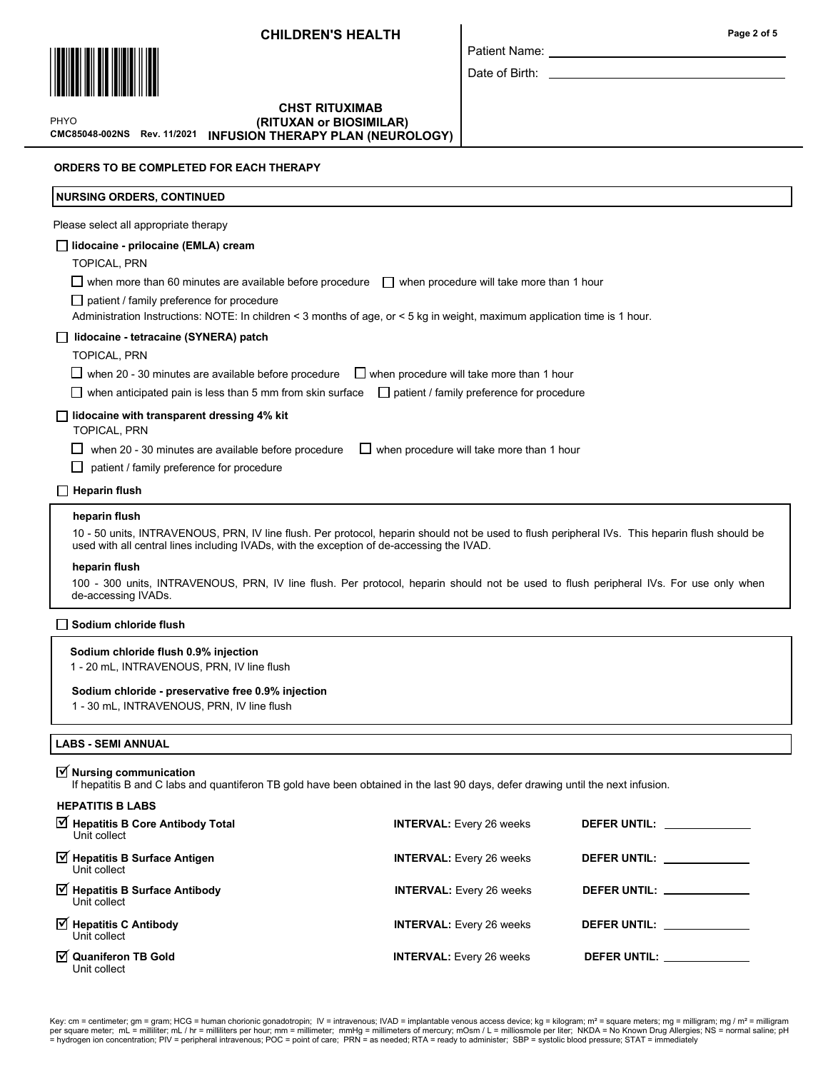Patient Name: Date of Birth:



PHYO

## CMC85048-002NS Rev. 11/2021 INFUSION THERAPY PLAN (NEUROLOGY)CHST RITUXIMAB (RITUXAN or BIOSIMILAR)

ORDERS TO BE COMPLETED FOR EACH THERAPY

| <b>NURSING ORDERS, CONTINUED</b>                                                                                                                                                                                                                                                                                                                                                                                                                                                                               |                                                  |                                                                                                                                                                                                                                |  |
|----------------------------------------------------------------------------------------------------------------------------------------------------------------------------------------------------------------------------------------------------------------------------------------------------------------------------------------------------------------------------------------------------------------------------------------------------------------------------------------------------------------|--------------------------------------------------|--------------------------------------------------------------------------------------------------------------------------------------------------------------------------------------------------------------------------------|--|
| Please select all appropriate therapy                                                                                                                                                                                                                                                                                                                                                                                                                                                                          |                                                  |                                                                                                                                                                                                                                |  |
| lidocaine - prilocaine (EMLA) cream<br>TOPICAL, PRN<br>$\Box$ when more than 60 minutes are available before procedure<br>$\Box$ patient / family preference for procedure                                                                                                                                                                                                                                                                                                                                     | $\Box$ when procedure will take more than 1 hour |                                                                                                                                                                                                                                |  |
| Administration Instructions: NOTE: In children < 3 months of age, or < 5 kg in weight, maximum application time is 1 hour.<br>lidocaine - tetracaine (SYNERA) patch<br>TOPICAL, PRN<br>$\Box$ when 20 - 30 minutes are available before procedure<br>$\Box$ when procedure will take more than 1 hour<br>$\Box$ when anticipated pain is less than 5 mm from skin surface<br>$\Box$ patient / family preference for procedure                                                                                  |                                                  |                                                                                                                                                                                                                                |  |
| $\Box$ lidocaine with transparent dressing 4% kit<br><b>TOPICAL, PRN</b><br>when 20 - 30 minutes are available before procedure<br>when procedure will take more than 1 hour<br>$\Box$<br>patient / family preference for procedure                                                                                                                                                                                                                                                                            |                                                  |                                                                                                                                                                                                                                |  |
| $\Box$ Heparin flush                                                                                                                                                                                                                                                                                                                                                                                                                                                                                           |                                                  |                                                                                                                                                                                                                                |  |
| heparin flush<br>10 - 50 units, INTRAVENOUS, PRN, IV line flush. Per protocol, heparin should not be used to flush peripheral IVs. This heparin flush should be<br>used with all central lines including IVADs, with the exception of de-accessing the IVAD.<br>heparin flush<br>100 - 300 units, INTRAVENOUS, PRN, IV line flush. Per protocol, heparin should not be used to flush peripheral IVs. For use only when<br>de-accessing IVADs.<br>Sodium chloride flush<br>Sodium chloride flush 0.9% injection |                                                  |                                                                                                                                                                                                                                |  |
| 1 - 20 mL, INTRAVENOUS, PRN, IV line flush<br>Sodium chloride - preservative free 0.9% injection<br>1 - 30 mL, INTRAVENOUS, PRN, IV line flush                                                                                                                                                                                                                                                                                                                                                                 |                                                  |                                                                                                                                                                                                                                |  |
| <b>LABS - SEMI ANNUAL</b>                                                                                                                                                                                                                                                                                                                                                                                                                                                                                      |                                                  |                                                                                                                                                                                                                                |  |
| $\triangledown$ Nursing communication<br>If hepatitis B and C labs and quantiferon TB gold have been obtained in the last 90 days, defer drawing until the next infusion.                                                                                                                                                                                                                                                                                                                                      |                                                  |                                                                                                                                                                                                                                |  |
| <b>HEPATITIS B LABS</b><br>$\boxtimes$ Hepatitis B Core Antibody Total<br>Unit collect                                                                                                                                                                                                                                                                                                                                                                                                                         | <b>INTERVAL:</b> Every 26 weeks                  |                                                                                                                                                                                                                                |  |
| $\triangledown$ Hepatitis B Surface Antigen<br>Unit collect                                                                                                                                                                                                                                                                                                                                                                                                                                                    | <b>INTERVAL:</b> Every 26 weeks                  |                                                                                                                                                                                                                                |  |
| Hepatitis B Surface Antibody<br>Unit collect                                                                                                                                                                                                                                                                                                                                                                                                                                                                   | <b>INTERVAL:</b> Every 26 weeks                  | DEFER UNTIL: _____________                                                                                                                                                                                                     |  |
| Ø Hepatitis C Antibody<br>Unit collect                                                                                                                                                                                                                                                                                                                                                                                                                                                                         | <b>INTERVAL:</b> Every 26 weeks                  | DEFER UNTIL: The contract of the contract of the contract of the contract of the contract of the contract of the contract of the contract of the contract of the contract of the contract of the contract of the contract of t |  |
| ☑ Quaniferon TB Gold<br>Unit collect                                                                                                                                                                                                                                                                                                                                                                                                                                                                           | <b>INTERVAL:</b> Every 26 weeks                  | DEFER UNTIL: ___________                                                                                                                                                                                                       |  |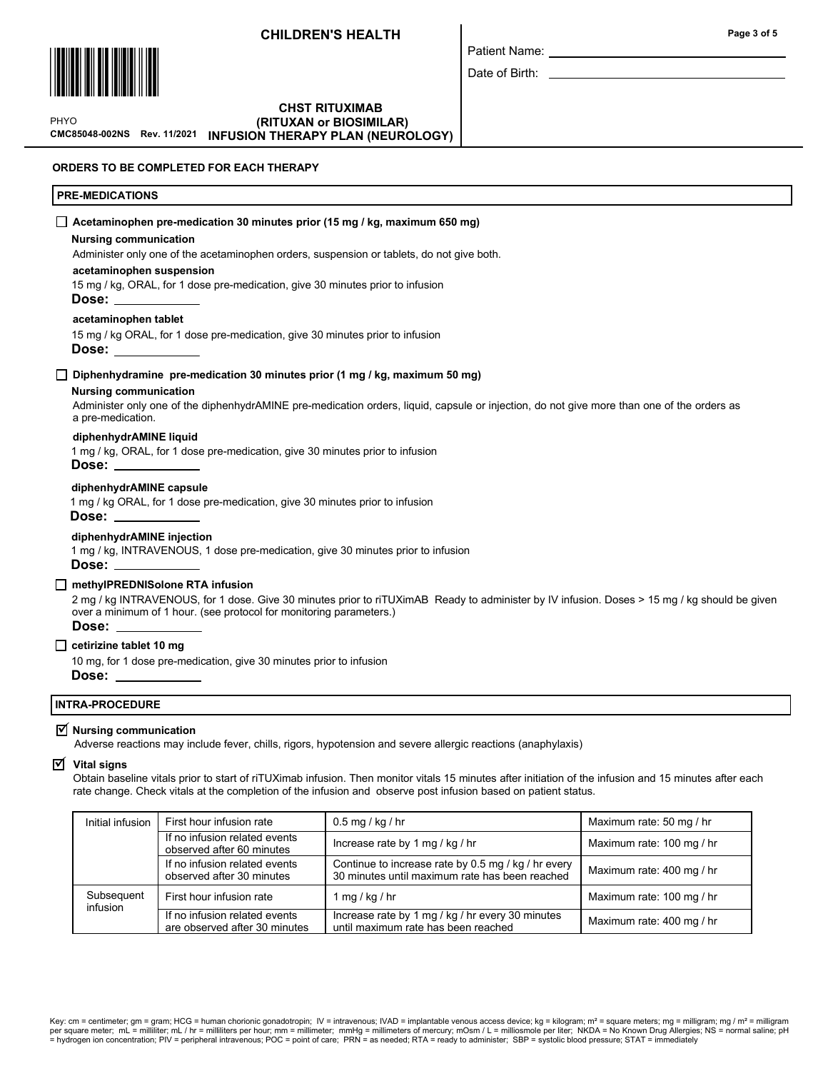

Patient Name:

Date of Birth:

\*PHYO PHYO \*

#### CMC85048-002NS Rev. 11/2021 CHST RITUXIMAB (RITUXAN or BIOSIMILAR) INFUSION THERAPY PLAN (NEUROLOGY)

ORDERS TO BE COMPLETED FOR EACH THERAPY

## PRE-MEDICATIONS

#### $\Box$  Acetaminophen pre-medication 30 minutes prior (15 mg / kg, maximum 650 mg)

#### Nursing communication

Administer only one of the acetaminophen orders, suspension or tablets, do not give both.

#### acetaminophen suspension

15 mg / kg, ORAL, for 1 dose pre-medication, give 30 minutes prior to infusion

Dose:

#### acetaminophen tablet

15 mg / kg ORAL, for 1 dose pre-medication, give 30 minutes prior to infusion

Dose:

### Diphenhydramine pre-medication 30 minutes prior (1 mg / kg, maximum 50 mg)

## Nursing communication

Administer only one of the diphenhydrAMINE pre-medication orders, liquid, capsule or injection, do not give more than one of the orders as a pre-medication.

#### diphenhydrAMINE liquid

1 mg / kg, ORAL, for 1 dose pre-medication, give 30 minutes prior to infusion Dose:

## diphenhydrAMINE capsule

1 mg / kg ORAL, for 1 dose pre-medication, give 30 minutes prior to infusion Dose:

## diphenhydrAMINE injection

1 mg / kg, INTRAVENOUS, 1 dose pre-medication, give 30 minutes prior to infusion

# Dose:

# □ methyIPREDNISolone RTA infusion

2 mg / kg INTRAVENOUS, for 1 dose. Give 30 minutes prior to riTUXimAB Ready to administer by IV infusion. Doses > 15 mg / kg should be given over a minimum of 1 hour. (see protocol for monitoring parameters.) Dose:

## $\Box$  cetirizine tablet 10 mg

10 mg, for 1 dose pre-medication, give 30 minutes prior to infusion

Dose:

## INTRA-PROCEDURE

# $\mathbf{\nabla}$  Nursing communication

Adverse reactions may include fever, chills, rigors, hypotension and severe allergic reactions (anaphylaxis)

#### $\nabla$  Vital signs

Obtain baseline vitals prior to start of riTUXimab infusion. Then monitor vitals 15 minutes after initiation of the infusion and 15 minutes after each rate change. Check vitals at the completion of the infusion and observe post infusion based on patient status.

| Initial infusion       | First hour infusion rate                                       | $0.5 \,\mathrm{mg}/\mathrm{kg}/\mathrm{hr}$                                                           | Maximum rate: 50 mg / hr  |
|------------------------|----------------------------------------------------------------|-------------------------------------------------------------------------------------------------------|---------------------------|
|                        | If no infusion related events<br>observed after 60 minutes     | Increase rate by 1 mg / kg / hr                                                                       | Maximum rate: 100 mg / hr |
|                        | If no infusion related events<br>observed after 30 minutes     | Continue to increase rate by 0.5 mg / kg / hr every<br>30 minutes until maximum rate has been reached | Maximum rate: 400 mg / hr |
| Subsequent<br>infusion | First hour infusion rate                                       | 1 mg / kg / hr                                                                                        | Maximum rate: 100 mg / hr |
|                        | If no infusion related events<br>are observed after 30 minutes | Increase rate by 1 mg / kg / hr every 30 minutes<br>until maximum rate has been reached               | Maximum rate: 400 mg / hr |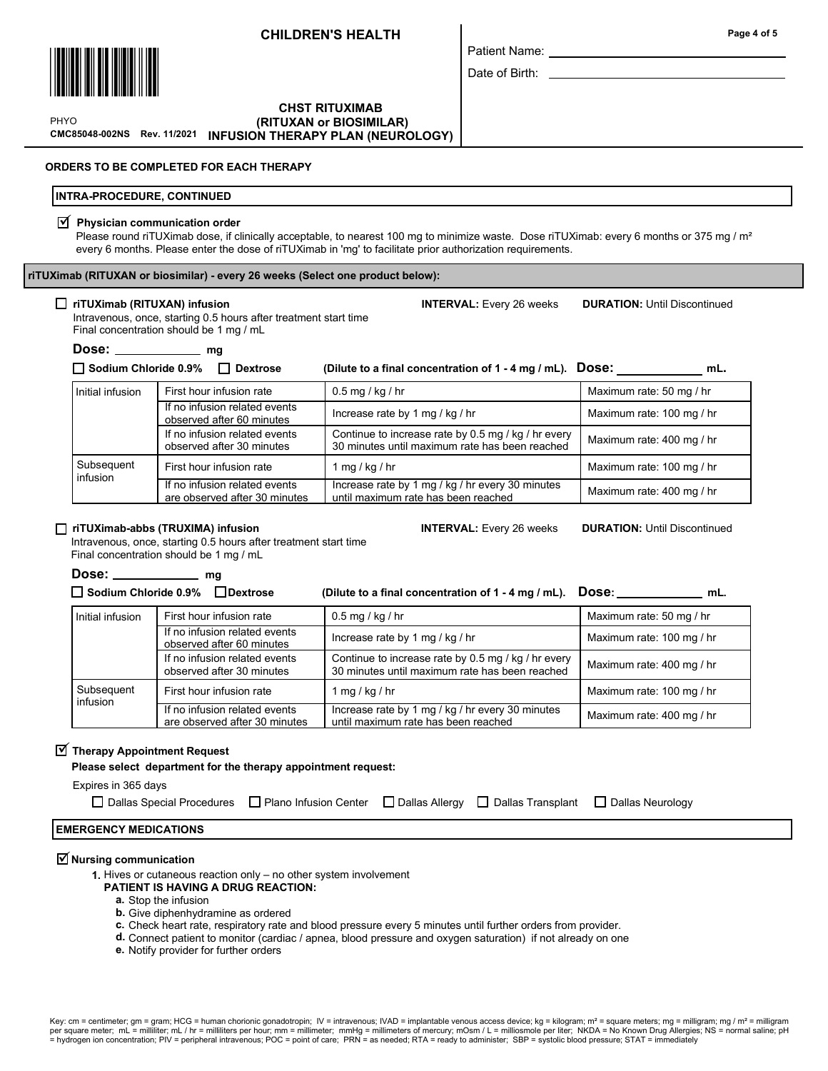

## CMC85048-002NS Rev. 11/2021 INFUSION THERAPY PLAN (NEUROLOGY)CHST RITUXIMAB (RITUXAN or BIOSIMILAR)

\*PHYO PHYO \*

#### ORDERS TO BE COMPLETED FOR EACH THERAPY

### INTRA-PROCEDURE, CONTINUED

#### $\triangledown$  Physician communication order

Please round riTUXimab dose, if clinically acceptable, to nearest 100 mg to minimize waste. Dose riTUXimab: every 6 months or 375 mg / m<sup>2</sup> every 6 months. Please enter the dose of riTUXimab in 'mg' to facilitate prior authorization requirements.

riTUXimab (RITUXAN or biosimilar) - every 26 weeks (Select one product below):

## □ riTUXimab (RITUXAN) infusion INTERVAL: Every 26 weeks INTERVAL: Every 26 weeks INTERVAL: Every 26 weeks INTERVAL: Every 26 weeks

Intravenous, once, starting 0.5 hours after treatment start time

Final concentration should be 1 mg / mL

 $Dose:$   $mg$ 

 $\Box$  Sodium Chloride 0.9%  $\Box$  Dextrose (Dilute to a final concentration of 1 - 4 mg / mL). DOSe: mL.

First hour infusion rate  $(0.5 \text{ mg / kg / hr})$  0.5 mg / hr Maximum rate: 50 mg / hr If no infusion related events observed after 60 minutes Increase rate by 1 mg / kg / hr Maximum rate: 100 mg / hr Maximum rate: 100 mg / hr If no infusion related events observed after 30 minutes Continue to increase rate by 0.5 mg / kg / hr every 30 minutes until maximum rate has been reached Maximum rate: 400 mg / hr First hour infusion rate 1 mg / kg / hr Maximum rate: 100 mg / hr Maximum rate: 100 mg / hr If no infusion related events are observed after 30 minutes Increase rate by 1 mg / kg / hr every 30 minutes mcrease rate by Tring / Ng / in every 50 minutes Maximum rate: 400 mg / hr<br>until maximum rate has been reached Initial infusion **Subsequent** infusion

## □ riTUXimab-abbs (TRUXIMA) infusion INTERVAL: Every 26 weeks INTERVAL: Every 26 weeks INTERVAL: Every 26 weeks

Intravenous, once, starting 0.5 hours after treatment start time Final concentration should be 1 mg / mL

# Dose: \_\_\_\_\_\_\_\_\_\_\_\_\_ mg

| Sodium Chloride 0.9% Dextrose |                  |                                                                | (Dilute to a final concentration of 1 - 4 mg / mL). DOSe: ___________                                 | mL.                       |  |
|-------------------------------|------------------|----------------------------------------------------------------|-------------------------------------------------------------------------------------------------------|---------------------------|--|
|                               | Initial infusion | First hour infusion rate                                       | $0.5$ mg / kg / hr                                                                                    | Maximum rate: 50 mg / hr  |  |
|                               |                  | If no infusion related events<br>observed after 60 minutes     | Increase rate by 1 mg / kg / hr                                                                       | Maximum rate: 100 mg / hr |  |
|                               |                  | If no infusion related events<br>observed after 30 minutes     | Continue to increase rate by 0.5 mg / kg / hr every<br>30 minutes until maximum rate has been reached | Maximum rate: 400 mg / hr |  |
| Subsequent<br>infusion        |                  | First hour infusion rate                                       | 1 mg / kg / hr                                                                                        | Maximum rate: 100 mg / hr |  |
|                               |                  | If no infusion related events<br>are observed after 30 minutes | Increase rate by 1 mg / kg / hr every 30 minutes<br>until maximum rate has been reached               | Maximum rate: 400 mg / hr |  |

# $\overrightarrow{\mathbf{y}}$  Therapy Appointment Request

Please select department for the therapy appointment request:

Expires in 365 days

| □ Dallas Special Procedures □ Plano Infusion Center □ Dallas Allergy □ Dallas Transplant □ Dallas Neurology |  |  |  |  |
|-------------------------------------------------------------------------------------------------------------|--|--|--|--|
|-------------------------------------------------------------------------------------------------------------|--|--|--|--|

# EMERGENCY MEDICATIONS

# $\overline{\triangleleft}$  Nursing communication

1. Hives or cutaneous reaction only – no other system involvement

- PATIENT IS HAVING A DRUG REACTION:
	- a. Stop the infusion
	- **b.** Give diphenhydramine as ordered
	- c. Check heart rate, respiratory rate and blood pressure every 5 minutes until further orders from provider.
	- d. Connect patient to monitor (cardiac / apnea, blood pressure and oxygen saturation) if not already on one
	- e. Notify provider for further orders

Page 4 of 5

| Patient Name:  |
|----------------|
| Date of Birth: |